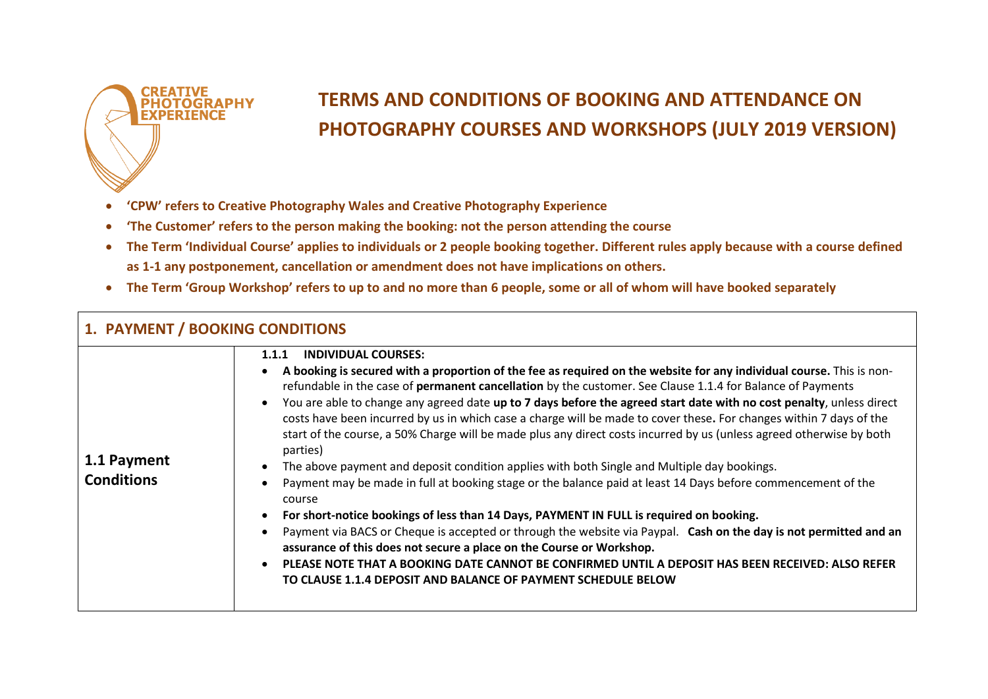

## **TERMS AND CONDITIONS OF BOOKING AND ATTENDANCE ON PHOTOGRAPHY COURSES AND WORKSHOPS (JULY 2019 VERSION)**

- **'CPW' refers to Creative Photography Wales and Creative Photography Experience**
- **'The Customer' refers to the person making the booking: not the person attending the course**
- **The Term 'Individual Course' applies to individuals or 2 people booking together. Different rules apply because with a course defined as 1-1 any postponement, cancellation or amendment does not have implications on others.**
- **The Term 'Group Workshop' refers to up to and no more than 6 people, some or all of whom will have booked separately**

| 1. PAYMENT / BOOKING CONDITIONS  |                                                                                                                                                                                                                                                                                                                                                                                                                                                                                                                                                                                                                                                                                                                                                                                                                                                                                                                                                                                                                                                                                                                                                                                                                                                                                                                                                                                                         |
|----------------------------------|---------------------------------------------------------------------------------------------------------------------------------------------------------------------------------------------------------------------------------------------------------------------------------------------------------------------------------------------------------------------------------------------------------------------------------------------------------------------------------------------------------------------------------------------------------------------------------------------------------------------------------------------------------------------------------------------------------------------------------------------------------------------------------------------------------------------------------------------------------------------------------------------------------------------------------------------------------------------------------------------------------------------------------------------------------------------------------------------------------------------------------------------------------------------------------------------------------------------------------------------------------------------------------------------------------------------------------------------------------------------------------------------------------|
| 1.1 Payment<br><b>Conditions</b> | <b>INDIVIDUAL COURSES:</b><br>1.1.1<br>A booking is secured with a proportion of the fee as required on the website for any individual course. This is non-<br>refundable in the case of permanent cancellation by the customer. See Clause 1.1.4 for Balance of Payments<br>You are able to change any agreed date up to 7 days before the agreed start date with no cost penalty, unless direct<br>$\bullet$<br>costs have been incurred by us in which case a charge will be made to cover these. For changes within 7 days of the<br>start of the course, a 50% Charge will be made plus any direct costs incurred by us (unless agreed otherwise by both<br>parties)<br>The above payment and deposit condition applies with both Single and Multiple day bookings.<br>$\bullet$<br>Payment may be made in full at booking stage or the balance paid at least 14 Days before commencement of the<br>course<br>For short-notice bookings of less than 14 Days, PAYMENT IN FULL is required on booking.<br>$\bullet$<br>Payment via BACS or Cheque is accepted or through the website via Paypal. Cash on the day is not permitted and an<br>assurance of this does not secure a place on the Course or Workshop.<br>PLEASE NOTE THAT A BOOKING DATE CANNOT BE CONFIRMED UNTIL A DEPOSIT HAS BEEN RECEIVED: ALSO REFER<br>$\bullet$<br>TO CLAUSE 1.1.4 DEPOSIT AND BALANCE OF PAYMENT SCHEDULE BELOW |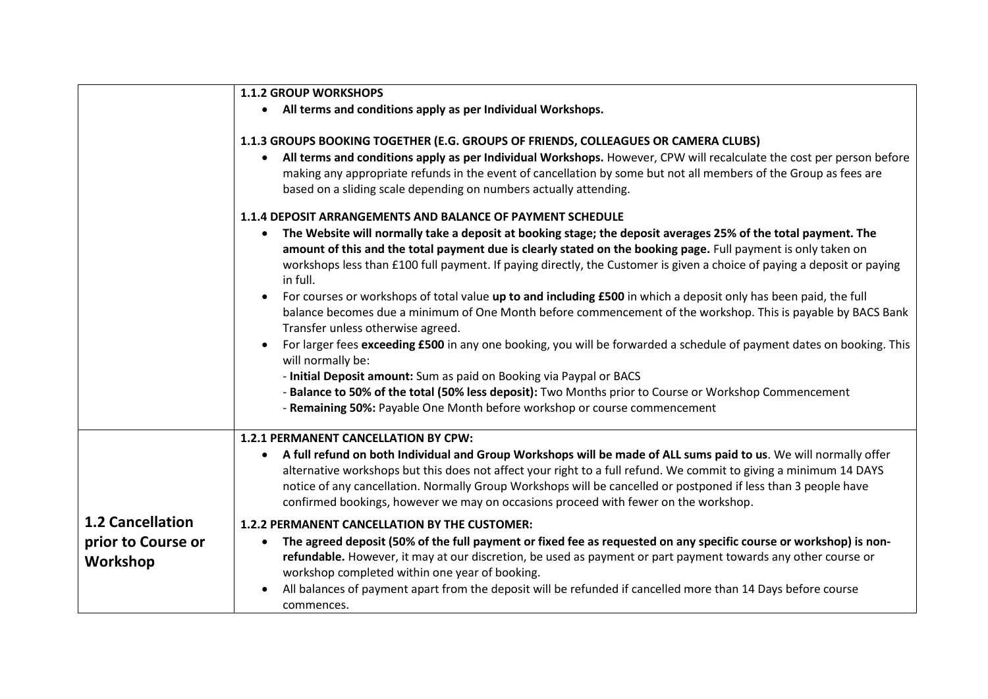|                                                           | <b>1.1.2 GROUP WORKSHOPS</b>                                                                                                                                                                                                                                                                                                                                                                                                                                                                                                                                                                                                                                                                                                                                                                                                                                                                                                                                                                                                                                                                                            |
|-----------------------------------------------------------|-------------------------------------------------------------------------------------------------------------------------------------------------------------------------------------------------------------------------------------------------------------------------------------------------------------------------------------------------------------------------------------------------------------------------------------------------------------------------------------------------------------------------------------------------------------------------------------------------------------------------------------------------------------------------------------------------------------------------------------------------------------------------------------------------------------------------------------------------------------------------------------------------------------------------------------------------------------------------------------------------------------------------------------------------------------------------------------------------------------------------|
|                                                           | • All terms and conditions apply as per Individual Workshops.                                                                                                                                                                                                                                                                                                                                                                                                                                                                                                                                                                                                                                                                                                                                                                                                                                                                                                                                                                                                                                                           |
|                                                           | 1.1.3 GROUPS BOOKING TOGETHER (E.G. GROUPS OF FRIENDS, COLLEAGUES OR CAMERA CLUBS)<br>All terms and conditions apply as per Individual Workshops. However, CPW will recalculate the cost per person before<br>$\bullet$<br>making any appropriate refunds in the event of cancellation by some but not all members of the Group as fees are<br>based on a sliding scale depending on numbers actually attending.                                                                                                                                                                                                                                                                                                                                                                                                                                                                                                                                                                                                                                                                                                        |
|                                                           | 1.1.4 DEPOSIT ARRANGEMENTS AND BALANCE OF PAYMENT SCHEDULE<br>The Website will normally take a deposit at booking stage; the deposit averages 25% of the total payment. The<br>amount of this and the total payment due is clearly stated on the booking page. Full payment is only taken on<br>workshops less than £100 full payment. If paying directly, the Customer is given a choice of paying a deposit or paying<br>in full.<br>For courses or workshops of total value up to and including £500 in which a deposit only has been paid, the full<br>balance becomes due a minimum of One Month before commencement of the workshop. This is payable by BACS Bank<br>Transfer unless otherwise agreed.<br>For larger fees exceeding £500 in any one booking, you will be forwarded a schedule of payment dates on booking. This<br>will normally be:<br>- Initial Deposit amount: Sum as paid on Booking via Paypal or BACS<br>- Balance to 50% of the total (50% less deposit): Two Months prior to Course or Workshop Commencement<br>- Remaining 50%: Payable One Month before workshop or course commencement |
|                                                           | 1.2.1 PERMANENT CANCELLATION BY CPW:<br>A full refund on both Individual and Group Workshops will be made of ALL sums paid to us. We will normally offer<br>$\bullet$<br>alternative workshops but this does not affect your right to a full refund. We commit to giving a minimum 14 DAYS<br>notice of any cancellation. Normally Group Workshops will be cancelled or postponed if less than 3 people have<br>confirmed bookings, however we may on occasions proceed with fewer on the workshop.                                                                                                                                                                                                                                                                                                                                                                                                                                                                                                                                                                                                                     |
| <b>1.2 Cancellation</b><br>prior to Course or<br>Workshop | 1.2.2 PERMANENT CANCELLATION BY THE CUSTOMER:<br>The agreed deposit (50% of the full payment or fixed fee as requested on any specific course or workshop) is non-<br>$\bullet$<br>refundable. However, it may at our discretion, be used as payment or part payment towards any other course or<br>workshop completed within one year of booking.<br>All balances of payment apart from the deposit will be refunded if cancelled more than 14 Days before course<br>commences.                                                                                                                                                                                                                                                                                                                                                                                                                                                                                                                                                                                                                                        |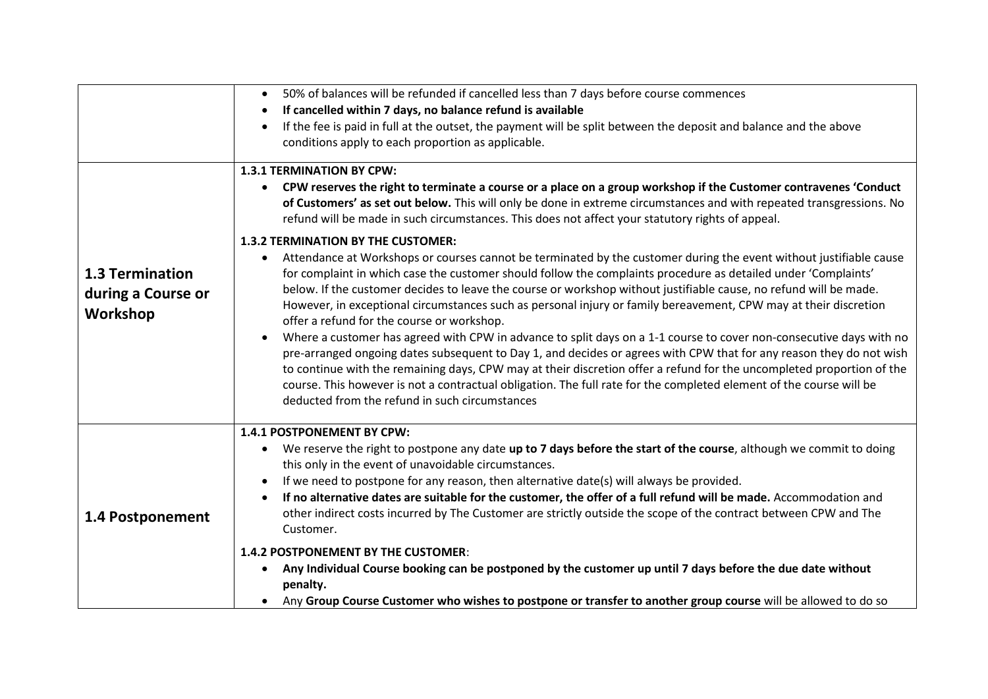|                                                          | 50% of balances will be refunded if cancelled less than 7 days before course commences<br>$\bullet$                                                                                                                                                                                                                                                                                                                                                                                                                                          |
|----------------------------------------------------------|----------------------------------------------------------------------------------------------------------------------------------------------------------------------------------------------------------------------------------------------------------------------------------------------------------------------------------------------------------------------------------------------------------------------------------------------------------------------------------------------------------------------------------------------|
|                                                          | If cancelled within 7 days, no balance refund is available<br>$\bullet$                                                                                                                                                                                                                                                                                                                                                                                                                                                                      |
|                                                          | If the fee is paid in full at the outset, the payment will be split between the deposit and balance and the above<br>$\bullet$<br>conditions apply to each proportion as applicable.                                                                                                                                                                                                                                                                                                                                                         |
|                                                          | <b>1.3.1 TERMINATION BY CPW:</b>                                                                                                                                                                                                                                                                                                                                                                                                                                                                                                             |
|                                                          | CPW reserves the right to terminate a course or a place on a group workshop if the Customer contravenes 'Conduct<br>$\bullet$<br>of Customers' as set out below. This will only be done in extreme circumstances and with repeated transgressions. No<br>refund will be made in such circumstances. This does not affect your statutory rights of appeal.                                                                                                                                                                                    |
|                                                          | <b>1.3.2 TERMINATION BY THE CUSTOMER:</b>                                                                                                                                                                                                                                                                                                                                                                                                                                                                                                    |
| <b>1.3 Termination</b><br>during a Course or<br>Workshop | Attendance at Workshops or courses cannot be terminated by the customer during the event without justifiable cause<br>for complaint in which case the customer should follow the complaints procedure as detailed under 'Complaints'<br>below. If the customer decides to leave the course or workshop without justifiable cause, no refund will be made.<br>However, in exceptional circumstances such as personal injury or family bereavement, CPW may at their discretion<br>offer a refund for the course or workshop.                  |
|                                                          | Where a customer has agreed with CPW in advance to split days on a 1-1 course to cover non-consecutive days with no<br>pre-arranged ongoing dates subsequent to Day 1, and decides or agrees with CPW that for any reason they do not wish<br>to continue with the remaining days, CPW may at their discretion offer a refund for the uncompleted proportion of the<br>course. This however is not a contractual obligation. The full rate for the completed element of the course will be<br>deducted from the refund in such circumstances |
|                                                          | 1.4.1 POSTPONEMENT BY CPW:                                                                                                                                                                                                                                                                                                                                                                                                                                                                                                                   |
| 1.4 Postponement                                         | We reserve the right to postpone any date up to 7 days before the start of the course, although we commit to doing<br>٠<br>this only in the event of unavoidable circumstances.                                                                                                                                                                                                                                                                                                                                                              |
|                                                          | If we need to postpone for any reason, then alternative date(s) will always be provided.<br>$\bullet$                                                                                                                                                                                                                                                                                                                                                                                                                                        |
|                                                          | If no alternative dates are suitable for the customer, the offer of a full refund will be made. Accommodation and<br>$\bullet$<br>other indirect costs incurred by The Customer are strictly outside the scope of the contract between CPW and The<br>Customer.                                                                                                                                                                                                                                                                              |
|                                                          | 1.4.2 POSTPONEMENT BY THE CUSTOMER:<br>Any Individual Course booking can be postponed by the customer up until 7 days before the due date without<br>٠<br>penalty.<br>Any Group Course Customer who wishes to postpone or transfer to another group course will be allowed to do so<br>$\bullet$                                                                                                                                                                                                                                             |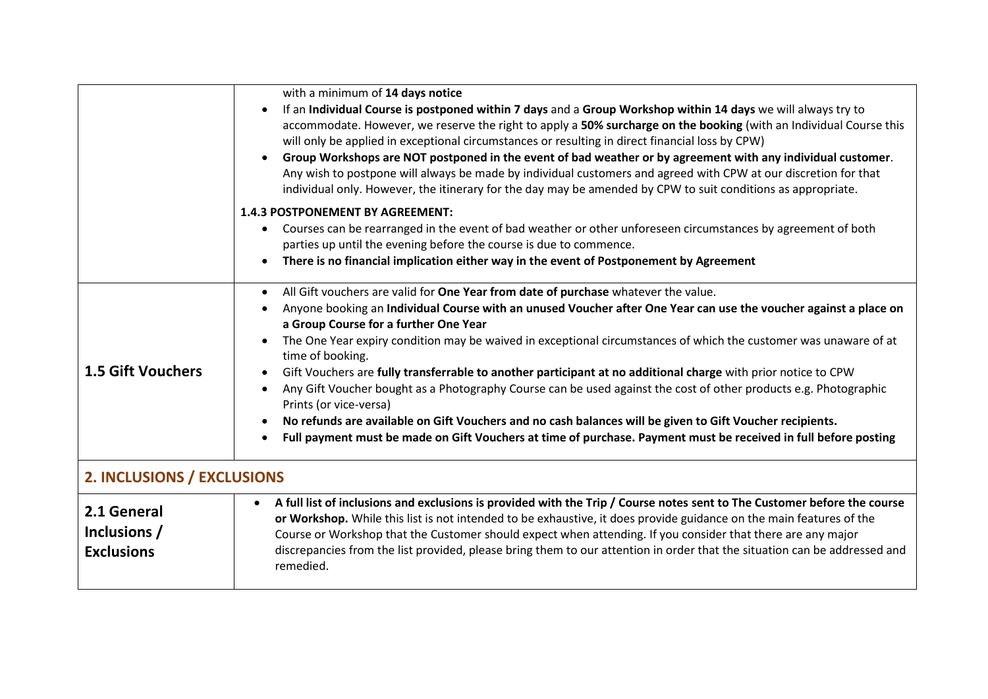|                                                  | with a minimum of 14 days notice<br>If an Individual Course is postponed within 7 days and a Group Workshop within 14 days we will always try to<br>accommodate. However, we reserve the right to apply a 50% surcharge on the booking (with an Individual Course this<br>will only be applied in exceptional circumstances or resulting in direct financial loss by CPW)<br>Group Workshops are NOT postponed in the event of bad weather or by agreement with any individual customer.<br>$\bullet$<br>Any wish to postpone will always be made by individual customers and agreed with CPW at our discretion for that                                                                                                                                                                                                                                                                                        |
|--------------------------------------------------|-----------------------------------------------------------------------------------------------------------------------------------------------------------------------------------------------------------------------------------------------------------------------------------------------------------------------------------------------------------------------------------------------------------------------------------------------------------------------------------------------------------------------------------------------------------------------------------------------------------------------------------------------------------------------------------------------------------------------------------------------------------------------------------------------------------------------------------------------------------------------------------------------------------------|
|                                                  | individual only. However, the itinerary for the day may be amended by CPW to suit conditions as appropriate.<br><b>1.4.3 POSTPONEMENT BY AGREEMENT:</b><br>Courses can be rearranged in the event of bad weather or other unforeseen circumstances by agreement of both<br>$\bullet$<br>parties up until the evening before the course is due to commence.<br>There is no financial implication either way in the event of Postponement by Agreement<br>$\bullet$                                                                                                                                                                                                                                                                                                                                                                                                                                               |
| <b>1.5 Gift Vouchers</b>                         | All Gift vouchers are valid for One Year from date of purchase whatever the value.<br>$\bullet$<br>Anyone booking an Individual Course with an unused Voucher after One Year can use the voucher against a place on<br>a Group Course for a further One Year<br>The One Year expiry condition may be waived in exceptional circumstances of which the customer was unaware of at<br>time of booking.<br>Gift Vouchers are fully transferrable to another participant at no additional charge with prior notice to CPW<br>$\bullet$<br>Any Gift Voucher bought as a Photography Course can be used against the cost of other products e.g. Photographic<br>Prints (or vice-versa)<br>No refunds are available on Gift Vouchers and no cash balances will be given to Gift Voucher recipients.<br>Full payment must be made on Gift Vouchers at time of purchase. Payment must be received in full before posting |
| 2. INCLUSIONS / EXCLUSIONS                       |                                                                                                                                                                                                                                                                                                                                                                                                                                                                                                                                                                                                                                                                                                                                                                                                                                                                                                                 |
| 2.1 General<br>Inclusions /<br><b>Exclusions</b> | A full list of inclusions and exclusions is provided with the Trip / Course notes sent to The Customer before the course<br>$\bullet$<br>or Workshop. While this list is not intended to be exhaustive, it does provide guidance on the main features of the<br>Course or Workshop that the Customer should expect when attending. If you consider that there are any major<br>discrepancies from the list provided, please bring them to our attention in order that the situation can be addressed and<br>remedied.                                                                                                                                                                                                                                                                                                                                                                                           |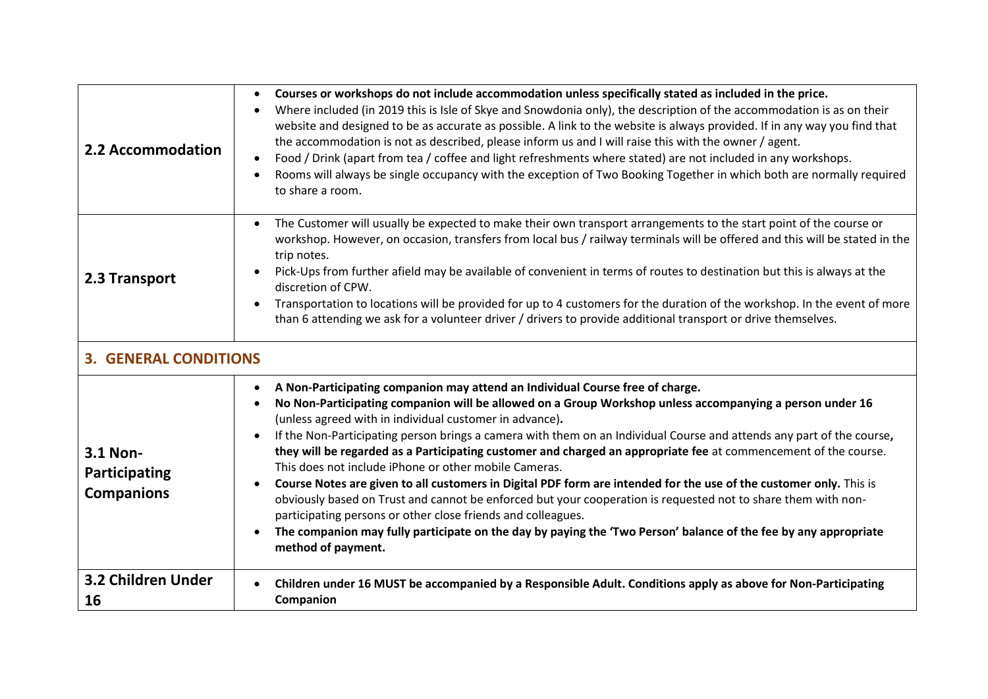| 2.2 Accommodation                              | Courses or workshops do not include accommodation unless specifically stated as included in the price.<br>Where included (in 2019 this is Isle of Skye and Snowdonia only), the description of the accommodation is as on their<br>$\bullet$<br>website and designed to be as accurate as possible. A link to the website is always provided. If in any way you find that<br>the accommodation is not as described, please inform us and I will raise this with the owner / agent.<br>Food / Drink (apart from tea / coffee and light refreshments where stated) are not included in any workshops.<br>Rooms will always be single occupancy with the exception of Two Booking Together in which both are normally required<br>to share a room.                                                                                                                                                                                                                                                           |
|------------------------------------------------|-----------------------------------------------------------------------------------------------------------------------------------------------------------------------------------------------------------------------------------------------------------------------------------------------------------------------------------------------------------------------------------------------------------------------------------------------------------------------------------------------------------------------------------------------------------------------------------------------------------------------------------------------------------------------------------------------------------------------------------------------------------------------------------------------------------------------------------------------------------------------------------------------------------------------------------------------------------------------------------------------------------|
| 2.3 Transport                                  | The Customer will usually be expected to make their own transport arrangements to the start point of the course or<br>$\bullet$<br>workshop. However, on occasion, transfers from local bus / railway terminals will be offered and this will be stated in the<br>trip notes.<br>Pick-Ups from further afield may be available of convenient in terms of routes to destination but this is always at the<br>discretion of CPW.<br>Transportation to locations will be provided for up to 4 customers for the duration of the workshop. In the event of more<br>than 6 attending we ask for a volunteer driver / drivers to provide additional transport or drive themselves.                                                                                                                                                                                                                                                                                                                              |
| <b>3. GENERAL CONDITIONS</b>                   |                                                                                                                                                                                                                                                                                                                                                                                                                                                                                                                                                                                                                                                                                                                                                                                                                                                                                                                                                                                                           |
| 3.1 Non-<br>Participating<br><b>Companions</b> | A Non-Participating companion may attend an Individual Course free of charge.<br>No Non-Participating companion will be allowed on a Group Workshop unless accompanying a person under 16<br>(unless agreed with in individual customer in advance).<br>If the Non-Participating person brings a camera with them on an Individual Course and attends any part of the course,<br>they will be regarded as a Participating customer and charged an appropriate fee at commencement of the course.<br>This does not include iPhone or other mobile Cameras.<br>Course Notes are given to all customers in Digital PDF form are intended for the use of the customer only. This is<br>obviously based on Trust and cannot be enforced but your cooperation is requested not to share them with non-<br>participating persons or other close friends and colleagues.<br>The companion may fully participate on the day by paying the 'Two Person' balance of the fee by any appropriate<br>method of payment. |
| 3.2 Children Under<br>16                       | Children under 16 MUST be accompanied by a Responsible Adult. Conditions apply as above for Non-Participating<br>Companion                                                                                                                                                                                                                                                                                                                                                                                                                                                                                                                                                                                                                                                                                                                                                                                                                                                                                |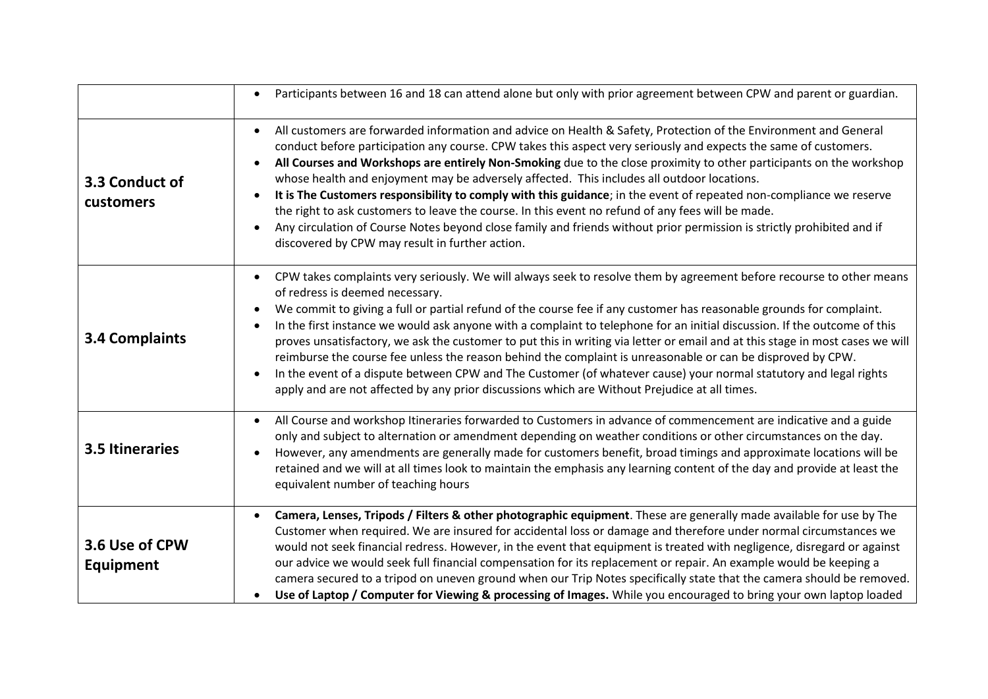|                             | Participants between 16 and 18 can attend alone but only with prior agreement between CPW and parent or guardian.<br>$\bullet$                                                                                                                                                                                                                                                                                                                                                                                                                                                                                                                                                                                                                                                                                                                                                                                            |
|-----------------------------|---------------------------------------------------------------------------------------------------------------------------------------------------------------------------------------------------------------------------------------------------------------------------------------------------------------------------------------------------------------------------------------------------------------------------------------------------------------------------------------------------------------------------------------------------------------------------------------------------------------------------------------------------------------------------------------------------------------------------------------------------------------------------------------------------------------------------------------------------------------------------------------------------------------------------|
| 3.3 Conduct of<br>customers | All customers are forwarded information and advice on Health & Safety, Protection of the Environment and General<br>$\bullet$<br>conduct before participation any course. CPW takes this aspect very seriously and expects the same of customers.<br>All Courses and Workshops are entirely Non-Smoking due to the close proximity to other participants on the workshop<br>whose health and enjoyment may be adversely affected. This includes all outdoor locations.<br>It is The Customers responsibility to comply with this guidance; in the event of repeated non-compliance we reserve<br>the right to ask customers to leave the course. In this event no refund of any fees will be made.<br>Any circulation of Course Notes beyond close family and friends without prior permission is strictly prohibited and if<br>discovered by CPW may result in further action.                                           |
| <b>3.4 Complaints</b>       | CPW takes complaints very seriously. We will always seek to resolve them by agreement before recourse to other means<br>$\bullet$<br>of redress is deemed necessary.<br>We commit to giving a full or partial refund of the course fee if any customer has reasonable grounds for complaint.<br>In the first instance we would ask anyone with a complaint to telephone for an initial discussion. If the outcome of this<br>$\bullet$<br>proves unsatisfactory, we ask the customer to put this in writing via letter or email and at this stage in most cases we will<br>reimburse the course fee unless the reason behind the complaint is unreasonable or can be disproved by CPW.<br>In the event of a dispute between CPW and The Customer (of whatever cause) your normal statutory and legal rights<br>$\bullet$<br>apply and are not affected by any prior discussions which are Without Prejudice at all times. |
| 3.5 Itineraries             | All Course and workshop Itineraries forwarded to Customers in advance of commencement are indicative and a guide<br>$\bullet$<br>only and subject to alternation or amendment depending on weather conditions or other circumstances on the day.<br>However, any amendments are generally made for customers benefit, broad timings and approximate locations will be<br>retained and we will at all times look to maintain the emphasis any learning content of the day and provide at least the<br>equivalent number of teaching hours                                                                                                                                                                                                                                                                                                                                                                                  |
| 3.6 Use of CPW<br>Equipment | Camera, Lenses, Tripods / Filters & other photographic equipment. These are generally made available for use by The<br>Customer when required. We are insured for accidental loss or damage and therefore under normal circumstances we<br>would not seek financial redress. However, in the event that equipment is treated with negligence, disregard or against<br>our advice we would seek full financial compensation for its replacement or repair. An example would be keeping a<br>camera secured to a tripod on uneven ground when our Trip Notes specifically state that the camera should be removed.<br>Use of Laptop / Computer for Viewing & processing of Images. While you encouraged to bring your own laptop loaded                                                                                                                                                                                     |